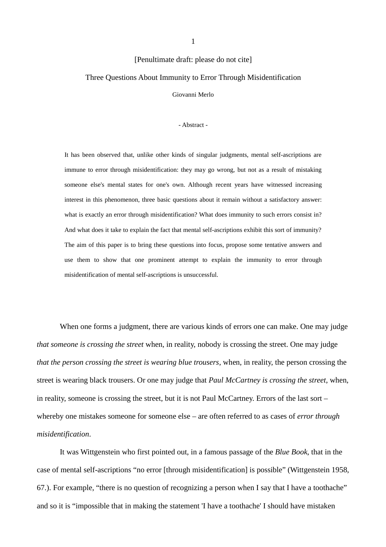#### [Penultimate draft: please do not cite]

### Three Questions About Immunity to Error Through Misidentification

Giovanni Merlo

#### - Abstract -

It has been observed that, unlike other kinds of singular judgments, mental self-ascriptions are immune to error through misidentification: they may go wrong, but not as a result of mistaking someone else's mental states for one's own. Although recent years have witnessed increasing interest in this phenomenon, three basic questions about it remain without a satisfactory answer: what is exactly an error through misidentification? What does immunity to such errors consist in? And what does it take to explain the fact that mental self-ascriptions exhibit this sort of immunity? The aim of this paper is to bring these questions into focus, propose some tentative answers and use them to show that one prominent attempt to explain the immunity to error through misidentification of mental self-ascriptions is unsuccessful.

When one forms a judgment, there are various kinds of errors one can make. One may judge *that someone is crossing the street* when, in reality, nobody is crossing the street. One may judge *that the person crossing the street is wearing blue trousers*, when, in reality, the person crossing the street is wearing black trousers. Or one may judge that *Paul McCartney is crossing the street*, when, in reality, someone is crossing the street, but it is not Paul McCartney. Errors of the last sort – whereby one mistakes someone for someone else – are often referred to as cases of *error through misidentification*.

It was Wittgenstein who first pointed out, in a famous passage of the *Blue Book*, that in the case of mental self-ascriptions "no error [through misidentification] is possible" (Wittgenstein 1958, 67.). For example, "there is no question of recognizing a person when I say that I have a toothache" and so it is "impossible that in making the statement 'I have a toothache' I should have mistaken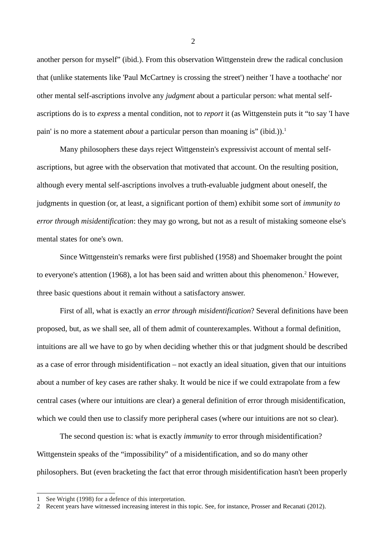another person for myself" (ibid.). From this observation Wittgenstein drew the radical conclusion that (unlike statements like 'Paul McCartney is crossing the street') neither 'I have a toothache' nor other mental self-ascriptions involve any *judgment* about a particular person: what mental selfascriptions do is to *express* a mental condition, not to *report* it (as Wittgenstein puts it "to say 'I have pain' is no more a statement *about* a particular person than moaning is" (ibid.)).<sup>1</sup>

Many philosophers these days reject Wittgenstein's expressivist account of mental selfascriptions, but agree with the observation that motivated that account. On the resulting position, although every mental self-ascriptions involves a truth-evaluable judgment about oneself, the judgments in question (or, at least, a significant portion of them) exhibit some sort of *immunity to error through misidentification*: they may go wrong, but not as a result of mistaking someone else's mental states for one's own.

Since Wittgenstein's remarks were first published (1958) and Shoemaker brought the point to everyone's attention (1968), a lot has been said and written about this phenomenon.<sup>2</sup> However, three basic questions about it remain without a satisfactory answer.

First of all, what is exactly an *error through misidentification*? Several definitions have been proposed, but, as we shall see, all of them admit of counterexamples. Without a formal definition, intuitions are all we have to go by when deciding whether this or that judgment should be described as a case of error through misidentification – not exactly an ideal situation, given that our intuitions about a number of key cases are rather shaky. It would be nice if we could extrapolate from a few central cases (where our intuitions are clear) a general definition of error through misidentification, which we could then use to classify more peripheral cases (where our intuitions are not so clear).

The second question is: what is exactly *immunity* to error through misidentification? Wittgenstein speaks of the "impossibility" of a misidentification, and so do many other philosophers. But (even bracketing the fact that error through misidentification hasn't been properly

See Wright (1998) for a defence of this interpretation.

<sup>2</sup> Recent years have witnessed increasing interest in this topic. See, for instance, Prosser and Recanati (2012).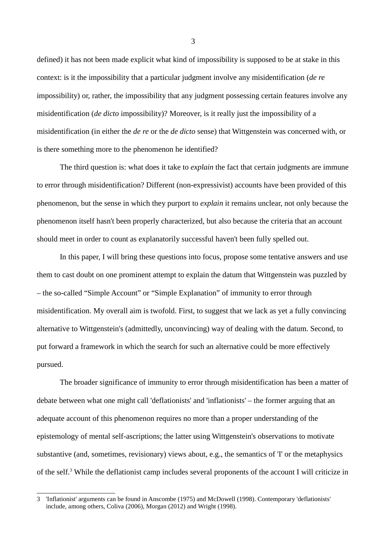defined) it has not been made explicit what kind of impossibility is supposed to be at stake in this context: is it the impossibility that a particular judgment involve any misidentification (*de re* impossibility) or, rather, the impossibility that any judgment possessing certain features involve any misidentification (*de dicto* impossibility)? Moreover, is it really just the impossibility of a misidentification (in either the *de re* or the *de dicto* sense) that Wittgenstein was concerned with, or is there something more to the phenomenon he identified?

The third question is: what does it take to *explain* the fact that certain judgments are immune to error through misidentification? Different (non-expressivist) accounts have been provided of this phenomenon, but the sense in which they purport to *explain* it remains unclear, not only because the phenomenon itself hasn't been properly characterized, but also because the criteria that an account should meet in order to count as explanatorily successful haven't been fully spelled out.

In this paper, I will bring these questions into focus, propose some tentative answers and use them to cast doubt on one prominent attempt to explain the datum that Wittgenstein was puzzled by – the so-called "Simple Account" or "Simple Explanation" of immunity to error through misidentification. My overall aim is twofold. First, to suggest that we lack as yet a fully convincing alternative to Wittgenstein's (admittedly, unconvincing) way of dealing with the datum. Second, to put forward a framework in which the search for such an alternative could be more effectively pursued.

The broader significance of immunity to error through misidentification has been a matter of debate between what one might call 'deflationists' and 'inflationists' – the former arguing that an adequate account of this phenomenon requires no more than a proper understanding of the epistemology of mental self-ascriptions; the latter using Wittgenstein's observations to motivate substantive (and, sometimes, revisionary) views about, e.g., the semantics of 'I' or the metaphysics of the self.<sup>3</sup> While the deflationist camp includes several proponents of the account I will criticize in

<sup>3 &#</sup>x27;Inflationist' arguments can be found in Anscombe (1975) and McDowell (1998). Contemporary 'deflationists' include, among others, Coliva (2006), Morgan (2012) and Wright (1998).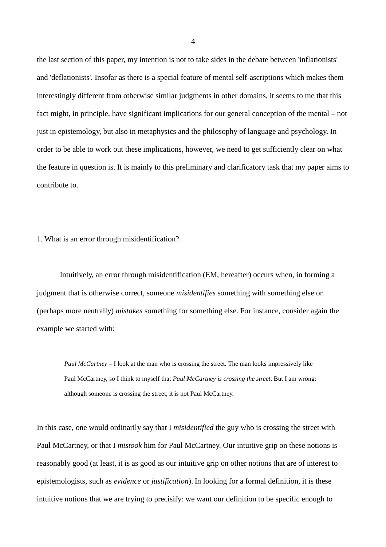the last section of this paper, my intention is not to take sides in the debate between 'inflationists' and 'deflationists'. Insofar as there is a special feature of mental self-ascriptions which makes them interestingly different from otherwise similar judgments in other domains, it seems to me that this fact might, in principle, have significant implications for our general conception of the mental – not just in epistemology, but also in metaphysics and the philosophy of language and psychology. In order to be able to work out these implications, however, we need to get sufficiently clear on what the feature in question is. It is mainly to this preliminary and clarificatory task that my paper aims to contribute to.

1. What is an error through misidentification?

Intuitively, an error through misidentification (EM, hereafter) occurs when, in forming a judgment that is otherwise correct, someone *misidentifies* something with something else or (perhaps more neutrally) *mistakes* something for something else. For instance, consider again the example we started with:

*Paul McCartney* – I look at the man who is crossing the street. The man looks impressively like Paul McCartney, so I think to myself that *Paul McCartney is crossing the street*. But I am wrong: although someone is crossing the street, it is not Paul McCartney.

In this case, one would ordinarily say that I *misidentified* the guy who is crossing the street with Paul McCartney, or that I *mistook* him for Paul McCartney. Our intuitive grip on these notions is reasonably good (at least, it is as good as our intuitive grip on other notions that are of interest to epistemologists, such as *evidence* or *justification*). In looking for a formal definition, it is these intuitive notions that we are trying to precisify: we want our definition to be specific enough to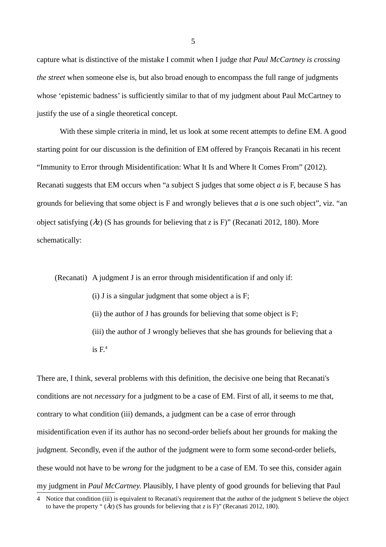capture what is distinctive of the mistake I commit when I judge *that Paul McCartney is crossing the street* when someone else is, but also broad enough to encompass the full range of judgments whose 'epistemic badness' is sufficiently similar to that of my judgment about Paul McCartney to justify the use of a single theoretical concept.

With these simple criteria in mind, let us look at some recent attempts to define EM. A good starting point for our discussion is the definition of EM offered by François Recanati in his recent "Immunity to Error through Misidentification: What It Is and Where It Comes From" (2012). Recanati suggests that EM occurs when "a subject S judges that some object *a* is F, because S has grounds for believing that some object is F and wrongly believes that *a* is one such object", viz. "an object satisfying  $(\lambda z)$  (S has grounds for believing that *z* is F)" (Recanati 2012, 180). More schematically:

(Recanati) A judgment J is an error through misidentification if and only if:

- (i) J is a singular judgment that some object a is F;
- (ii) the author of J has grounds for believing that some object is  $F$ ;
- (iii) the author of J wrongly believes that she has grounds for believing that a is  $F<sup>4</sup>$

There are, I think, several problems with this definition, the decisive one being that Recanati's conditions are not *necessary* for a judgment to be a case of EM. First of all, it seems to me that, contrary to what condition (iii) demands, a judgment can be a case of error through misidentification even if its author has no second-order beliefs about her grounds for making the judgment. Secondly, even if the author of the judgment were to form some second-order beliefs, these would not have to be *wrong* for the judgment to be a case of EM. To see this, consider again my judgment in *Paul McCartney*. Plausibly, I have plenty of good grounds for believing that Paul

<sup>4</sup> Notice that condition (iii) is equivalent to Recanati's requirement that the author of the judgment S believe the object to have the property "  $(\lambda z)$  (S has grounds for believing that *z* is F)" (Recanati 2012, 180).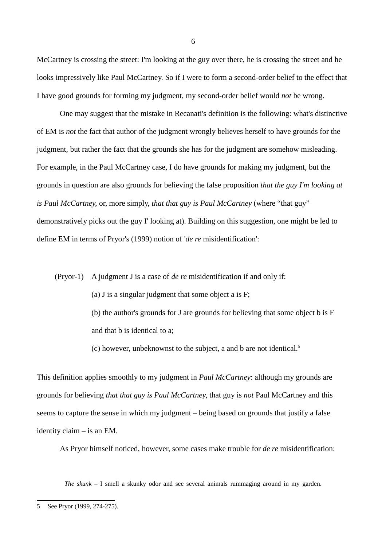McCartney is crossing the street: I'm looking at the guy over there, he is crossing the street and he looks impressively like Paul McCartney. So if I were to form a second-order belief to the effect that I have good grounds for forming my judgment, my second-order belief would *not* be wrong.

One may suggest that the mistake in Recanati's definition is the following: what's distinctive of EM is *not* the fact that author of the judgment wrongly believes herself to have grounds for the judgment, but rather the fact that the grounds she has for the judgment are somehow misleading. For example, in the Paul McCartney case, I do have grounds for making my judgment, but the grounds in question are also grounds for believing the false proposition *that the guy I'm looking at is Paul McCartney*, or, more simply, *that that guy is Paul McCartney* (where "that guy" demonstratively picks out the guy I' looking at). Building on this suggestion, one might be led to define EM in terms of Pryor's (1999) notion of '*de re* misidentification':

(Pryor-1) A judgment J is a case of *de re* misidentification if and only if:

(a) J is a singular judgment that some object a is F;

(b) the author's grounds for J are grounds for believing that some object b is F and that b is identical to a;

(c) however, unbeknownst to the subject, a and b are not identical.<sup>5</sup>

This definition applies smoothly to my judgment in *Paul McCartney*: although my grounds are grounds for believing *that that guy is Paul McCartney*, that guy is *not* Paul McCartney and this seems to capture the sense in which my judgment – being based on grounds that justify a false identity claim – is an EM.

As Pryor himself noticed, however, some cases make trouble for *de re* misidentification:

*The skunk* – I smell a skunky odor and see several animals rummaging around in my garden.

<sup>5</sup> See Pryor (1999, 274-275).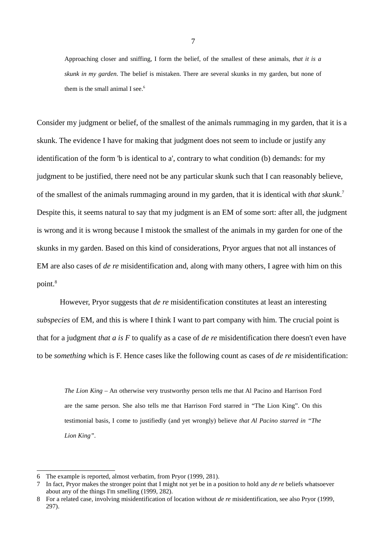Approaching closer and sniffing, I form the belief, of the smallest of these animals, *that it is a skunk in my garden*. The belief is mistaken. There are several skunks in my garden, but none of them is the small animal I see.<sup>6</sup>

Consider my judgment or belief, of the smallest of the animals rummaging in my garden, that it is a skunk. The evidence I have for making that judgment does not seem to include or justify any identification of the form 'b is identical to a', contrary to what condition (b) demands: for my judgment to be justified, there need not be any particular skunk such that I can reasonably believe, of the smallest of the animals rummaging around in my garden, that it is identical with *that skunk*. 7 Despite this, it seems natural to say that my judgment is an EM of some sort: after all, the judgment is wrong and it is wrong because I mistook the smallest of the animals in my garden for one of the skunks in my garden. Based on this kind of considerations, Pryor argues that not all instances of EM are also cases of *de re* misidentification and, along with many others, I agree with him on this point.<sup>8</sup>

However, Pryor suggests that *de re* misidentification constitutes at least an interesting *subspecies* of EM, and this is where I think I want to part company with him. The crucial point is that for a judgment *that a is F* to qualify as a case of *de re* misidentification there doesn't even have to be *something* which is F. Hence cases like the following count as cases of *de re* misidentification:

*The Lion King* – An otherwise very trustworthy person tells me that Al Pacino and Harrison Ford are the same person. She also tells me that Harrison Ford starred in "The Lion King". On this testimonial basis, I come to justifiedly (and yet wrongly) believe *that Al Pacino starred in "The Lion King"*.

<sup>6</sup> The example is reported, almost verbatim, from Pryor (1999, 281).

<sup>7</sup> In fact, Pryor makes the stronger point that I might not yet be in a position to hold any *de re* beliefs whatsoever about any of the things I'm smelling (1999, 282).

<sup>8</sup> For a related case, involving misidentification of location without *de re* misidentification, see also Pryor (1999, 297).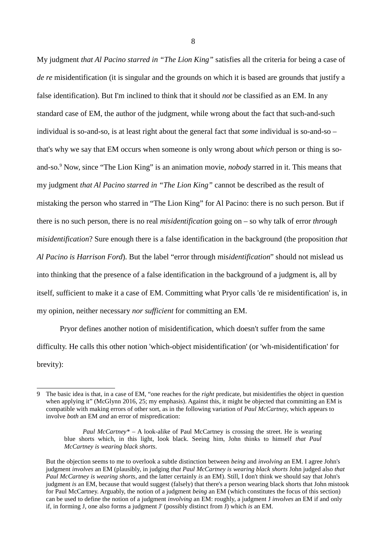My judgment *that Al Pacino starred in "The Lion King"* satisfies all the criteria for being a case of *de re* misidentification (it is singular and the grounds on which it is based are grounds that justify a false identification). But I'm inclined to think that it should *not* be classified as an EM. In any standard case of EM, the author of the judgment, while wrong about the fact that such-and-such individual is so-and-so, is at least right about the general fact that *some* individual is so-and-so – that's why we say that EM occurs when someone is only wrong about *which* person or thing is soand-so.<sup>9</sup> Now, since "The Lion King" is an animation movie, *nobody* starred in it. This means that my judgment *that Al Pacino starred in "The Lion King"* cannot be described as the result of mistaking the person who starred in "The Lion King" for Al Pacino: there is no such person. But if there is no such person, there is no real *misidentification* going on – so why talk of error *through misidentification*? Sure enough there is a false identification in the background (the proposition *that Al Pacino is Harrison Ford*). But the label "error through mis*identification*" should not mislead us into thinking that the presence of a false identification in the background of a judgment is, all by itself, sufficient to make it a case of EM. Committing what Pryor calls 'de re misidentification' is, in my opinion, neither necessary *nor sufficient* for committing an EM.

Pryor defines another notion of misidentification, which doesn't suffer from the same difficulty. He calls this other notion 'which-object misidentification' (or 'wh-misidentification' for brevity):

<sup>9</sup> The basic idea is that, in a case of EM, "one reaches for the *right* predicate, but misidentifies the object in question when applying it" (McGlynn 2016, 25; my emphasis). Against this, it might be objected that committing an EM is compatible with making errors of other sort, as in the following variation of *Paul McCartney*, which appears to involve *both* an EM *and* an error of mispredication:

*Paul McCartney\** – A look-alike of Paul McCartney is crossing the street. He is wearing blue shorts which, in this light, look black. Seeing him, John thinks to himself *that Paul McCartney is wearing black shorts*.

But the objection seems to me to overlook a subtle distinction between *being* and *involving* an EM. I agree John's judgment *involves* an EM (plausibly, in judging *that Paul McCartney is wearing black shorts* John judged also *that Paul McCartney is wearing shorts*, and the latter certainly *is* an EM). Still, I don't think we should say that John's judgment *is* an EM, because that would suggest (falsely) that there's a person wearing black shorts that John mistook for Paul McCartney. Arguably, the notion of a judgment *being* an EM (which constitutes the focus of this section) can be used to define the notion of a judgment *involving* an EM: roughly, a judgment J *involves* an EM if and only if, in forming J, one also forms a judgment J' (possibly distinct from J) which *is* an EM.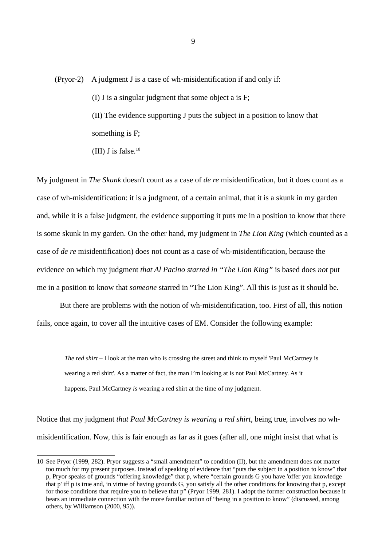(Pryor-2) A judgment J is a case of wh-misidentification if and only if:

(I) J is a singular judgment that some object a is F; (II) The evidence supporting J puts the subject in a position to know that something is F;

(III) J is false. $10$ 

My judgment in *The Skunk* doesn't count as a case of *de re* misidentification, but it does count as a case of wh-misidentification: it is a judgment, of a certain animal, that it is a skunk in my garden and, while it is a false judgment, the evidence supporting it puts me in a position to know that there is some skunk in my garden. On the other hand, my judgment in *The Lion King* (which counted as a case of *de re* misidentification) does not count as a case of wh-misidentification, because the evidence on which my judgment *that Al Pacino starred in "The Lion King"* is based does *not* put me in a position to know that *someone* starred in "The Lion King". All this is just as it should be.

But there are problems with the notion of wh-misidentification, too. First of all, this notion fails, once again, to cover all the intuitive cases of EM. Consider the following example:

*The red shirt* – I look at the man who is crossing the street and think to myself 'Paul McCartney is wearing a red shirt'. As a matter of fact, the man I'm looking at is not Paul McCartney. As it happens, Paul McCartney *is* wearing a red shirt at the time of my judgment.

Notice that my judgment *that Paul McCartney is wearing a red shirt*, being true, involves no whmisidentification. Now, this is fair enough as far as it goes (after all, one might insist that what is

<sup>10</sup> See Pryor (1999, 282). Pryor suggests a "small amendment" to condition (II), but the amendment does not matter too much for my present purposes. Instead of speaking of evidence that "puts the subject in a position to know" that p, Pryor speaks of grounds "offering knowledge" that p, where "certain grounds G you have 'offer you knowledge that p' iff p is true and, in virtue of having grounds G, you satisfy all the other conditions for knowing that p, except for those conditions that require you to believe that p" (Pryor 1999, 281). I adopt the former construction because it bears an immediate connection with the more familiar notion of "being in a position to know" (discussed, among others, by Williamson (2000, 95)).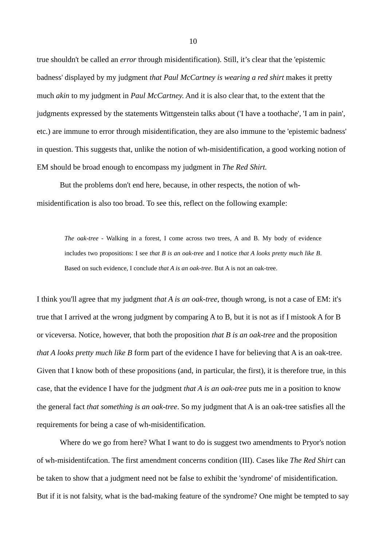true shouldn't be called an *error* through misidentification). Still, it's clear that the 'epistemic badness' displayed by my judgment *that Paul McCartney is wearing a red shirt* makes it pretty much *akin* to my judgment in *Paul McCartney*. And it is also clear that, to the extent that the judgments expressed by the statements Wittgenstein talks about ('I have a toothache', 'I am in pain', etc.) are immune to error through misidentification, they are also immune to the 'epistemic badness' in question. This suggests that, unlike the notion of wh-misidentification, a good working notion of EM should be broad enough to encompass my judgment in *The Red Shirt.*

But the problems don't end here, because, in other respects, the notion of whmisidentification is also too broad. To see this, reflect on the following example:

> *The oak-tree -* Walking in a forest, I come across two trees, A and B. My body of evidence includes two propositions: I see *that B is an oak-tree* and I notice *that A looks pretty much like B*. Based on such evidence, I conclude *that A is an oak-tree*. But A is not an oak-tree.

I think you'll agree that my judgment *that A is an oak-tree*, though wrong, is not a case of EM: it's true that I arrived at the wrong judgment by comparing A to B, but it is not as if I mistook A for B or viceversa. Notice, however, that both the proposition *that B is an oak-tree* and the proposition *that A looks pretty much like B* form part of the evidence I have for believing that A is an oak-tree. Given that I know both of these propositions (and, in particular, the first), it is therefore true, in this case, that the evidence I have for the judgment *that A is an oak-tree* puts me in a position to know the general fact *that something is an oak-tree*. So my judgment that A is an oak-tree satisfies all the requirements for being a case of wh-misidentification.

Where do we go from here? What I want to do is suggest two amendments to Pryor's notion of wh-misidentifcation. The first amendment concerns condition (III). Cases like *The Red Shirt* can be taken to show that a judgment need not be false to exhibit the 'syndrome' of misidentification. But if it is not falsity, what is the bad-making feature of the syndrome? One might be tempted to say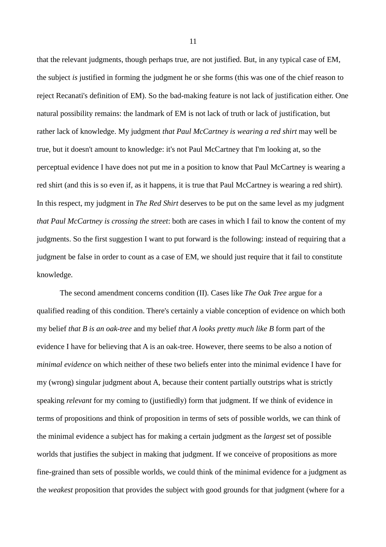that the relevant judgments, though perhaps true, are not justified. But, in any typical case of EM, the subject *is* justified in forming the judgment he or she forms (this was one of the chief reason to reject Recanati's definition of EM). So the bad-making feature is not lack of justification either. One natural possibility remains: the landmark of EM is not lack of truth or lack of justification, but rather lack of knowledge. My judgment *that Paul McCartney is wearing a red shirt* may well be true, but it doesn't amount to knowledge: it's not Paul McCartney that I'm looking at, so the perceptual evidence I have does not put me in a position to know that Paul McCartney is wearing a red shirt (and this is so even if, as it happens, it is true that Paul McCartney is wearing a red shirt). In this respect, my judgment in *The Red Shirt* deserves to be put on the same level as my judgment *that Paul McCartney is crossing the street*: both are cases in which I fail to know the content of my judgments. So the first suggestion I want to put forward is the following: instead of requiring that a judgment be false in order to count as a case of EM, we should just require that it fail to constitute knowledge.

The second amendment concerns condition (II). Cases like *The Oak Tree* argue for a qualified reading of this condition. There's certainly a viable conception of evidence on which both my belief *that B is an oak-tree* and my belief *that A looks pretty much like B* form part of the evidence I have for believing that A is an oak-tree. However, there seems to be also a notion of *minimal evidence* on which neither of these two beliefs enter into the minimal evidence I have for my (wrong) singular judgment about A, because their content partially outstrips what is strictly speaking *relevant* for my coming to (justifiedly) form that judgment. If we think of evidence in terms of propositions and think of proposition in terms of sets of possible worlds, we can think of the minimal evidence a subject has for making a certain judgment as the *largest* set of possible worlds that justifies the subject in making that judgment. If we conceive of propositions as more fine-grained than sets of possible worlds, we could think of the minimal evidence for a judgment as the *weakest* proposition that provides the subject with good grounds for that judgment (where for a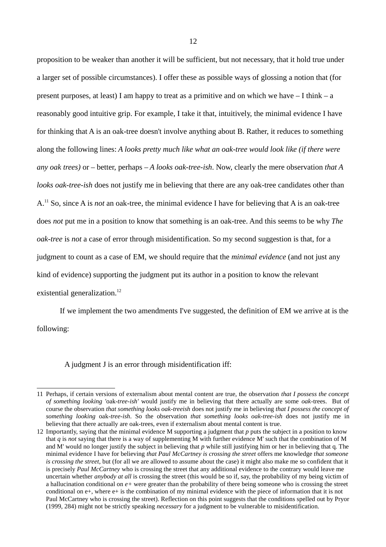proposition to be weaker than another it will be sufficient, but not necessary, that it hold true under a larger set of possible circumstances). I offer these as possible ways of glossing a notion that (for present purposes, at least) I am happy to treat as a primitive and on which we have – I think – a reasonably good intuitive grip. For example, I take it that, intuitively, the minimal evidence I have for thinking that A is an oak-tree doesn't involve anything about B. Rather, it reduces to something along the following lines: *A looks pretty much like what an oak-tree would look like (if there were any oak trees)* or – better, perhaps – *A looks oak-tree-ish*. Now, clearly the mere observation *that A looks oak-tree-ish* does not justify me in believing that there are any oak-tree candidates other than A.<sup>11</sup> So, since A is *not* an oak-tree, the minimal evidence I have for believing that A is an oak-tree does *not* put me in a position to know that something is an oak-tree. And this seems to be why *The oak-tree* is *not* a case of error through misidentification. So my second suggestion is that, for a judgment to count as a case of EM, we should require that the *minimal evidence* (and not just any kind of evidence) supporting the judgment put its author in a position to know the relevant existential generalization.<sup>12</sup>

If we implement the two amendments I've suggested, the definition of EM we arrive at is the following:

A judgment J is an error through misidentification iff:

<sup>11</sup> Perhaps, if certain versions of externalism about mental content are true, the observation *that I possess the concept of something looking '*oak*-tree-ish'* would justify me in believing that there actually are some *oak*-trees. But of course the observation *that something looks oak-treeish* does not justify me in believing *that I possess the concept of something looking* oak*-tree-ish*. So the observation *that something looks oak-tree-ish* does not justify me in believing that there actually are oak-trees, even if externalism about mental content is true.

<sup>12</sup> Importantly, saying that the minimal evidence M supporting a judgment that *p* puts the subject in a position to know that *q* is *not* saying that there is a way of supplementing M with further evidence M' such that the combination of M and M' would no longer justify the subject in believing that *p* while still justifying him or her in believing that q*.* The minimal evidence I have for believing *that Paul McCartney is crossing the street* offers me knowledge *that someone is crossing the street*, but (for all we are allowed to assume about the case) it might also make me so confident that it is precisely *Paul McCartney* who is crossing the street that any additional evidence to the contrary would leave me uncertain whether *anybody at all* is crossing the street (this would be so if, say, the probability of my being victim of a hallucination conditional on  $e$ + were greater than the probability of there being someone who is crossing the street conditional on e+, where e+ is the combination of my minimal evidence with the piece of information that it is not Paul McCartney who is crossing the street). Reflection on this point suggests that the conditions spelled out by Pryor (1999, 284) might not be strictly speaking *necessary* for a judgment to be vulnerable to misidentification.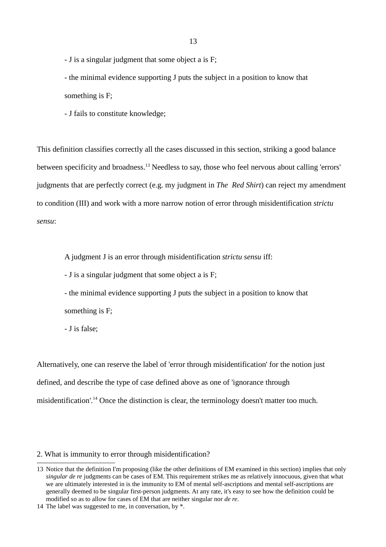- J is a singular judgment that some object a is F;

- the minimal evidence supporting J puts the subject in a position to know that something is F;

*-* J fails to constitute knowledge;

This definition classifies correctly all the cases discussed in this section, striking a good balance between specificity and broadness.<sup>13</sup> Needless to say, those who feel nervous about calling 'errors' judgments that are perfectly correct (e.g. my judgment in *The Red Shirt*) can reject my amendment to condition (III) and work with a more narrow notion of error through misidentification *strictu sensu*:

A judgment J is an error through misidentification *strictu sensu* iff:

*-* J is a singular judgment that some object a is F;

- the minimal evidence supporting J puts the subject in a position to know that something is F;

*-* J is false;

Alternatively, one can reserve the label of 'error through misidentification' for the notion just defined, and describe the type of case defined above as one of 'ignorance through misidentification'.<sup>14</sup> Once the distinction is clear, the terminology doesn't matter too much.

2. What is immunity to error through misidentification?

<sup>13</sup> Notice that the definition I'm proposing (like the other definitions of EM examined in this section) implies that only *singular de re* judgments can be cases of EM. This requirement strikes me as relatively innocuous, given that what we are ultimately interested in is the immunity to EM of mental self-ascriptions and mental self-ascriptions are generally deemed to be singular first-person judgments. At any rate, it's easy to see how the definition could be modified so as to allow for cases of EM that are neither singular nor *de re*.

<sup>14</sup> The label was suggested to me, in conversation, by \*.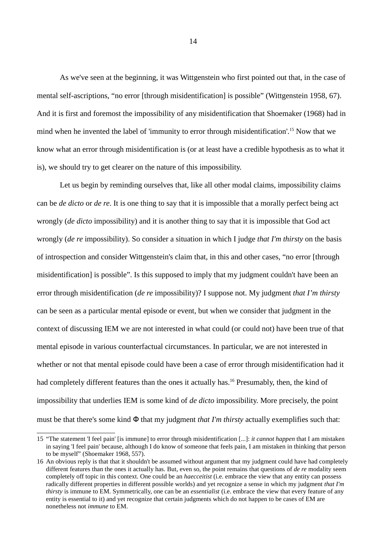As we've seen at the beginning, it was Wittgenstein who first pointed out that, in the case of mental self-ascriptions, "no error [through misidentification] is possible" (Wittgenstein 1958, 67). And it is first and foremost the impossibility of any misidentification that Shoemaker (1968) had in mind when he invented the label of 'immunity to error through misidentification'.<sup>15</sup> Now that we know what an error through misidentification is (or at least have a credible hypothesis as to what it is), we should try to get clearer on the nature of this impossibility.

Let us begin by reminding ourselves that, like all other modal claims, impossibility claims can be *de dicto* or *de re*. It is one thing to say that it is impossible that a morally perfect being act wrongly (*de dicto* impossibility) and it is another thing to say that it is impossible that God act wrongly (*de re* impossibility). So consider a situation in which I judge *that I'm thirsty* on the basis of introspection and consider Wittgenstein's claim that, in this and other cases, "no error [through misidentification] is possible". Is this supposed to imply that my judgment couldn't have been an error through misidentification (*de re* impossibility)? I suppose not. My judgment *that I'm thirsty* can be seen as a particular mental episode or event, but when we consider that judgment in the context of discussing IEM we are not interested in what could (or could not) have been true of that mental episode in various counterfactual circumstances. In particular, we are not interested in whether or not that mental episode could have been a case of error through misidentification had it had completely different features than the ones it actually has.<sup>16</sup> Presumably, then, the kind of impossibility that underlies IEM is some kind of *de dicto* impossibility. More precisely, the point must be that there's some kind Φ that my judgment *that I'm thirsty* actually exemplifies such that:

<sup>15 &</sup>quot;The statement 'I feel pain' [is immune] to error through misidentification [...]: *it cannot happen* that I am mistaken in saying 'I feel pain' because, although I do know of someone that feels pain, I am mistaken in thinking that person to be myself" (Shoemaker 1968, 557).

<sup>16</sup> An obvious reply is that that it shouldn't be assumed without argument that my judgment could have had completely different features than the ones it actually has. But, even so, the point remains that questions of *de re* modality seem completely off topic in this context. One could be an *haecceitist* (i.e. embrace the view that any entity can possess radically different properties in different possible worlds) and yet recognize a sense in which my judgment *that I'm thirsty* is immune to EM. Symmetrically, one can be an *essentialist* (i.e. embrace the view that every feature of any entity is essential to it) and yet recognize that certain judgments which do not happen to be cases of EM are nonetheless not *immune* to EM.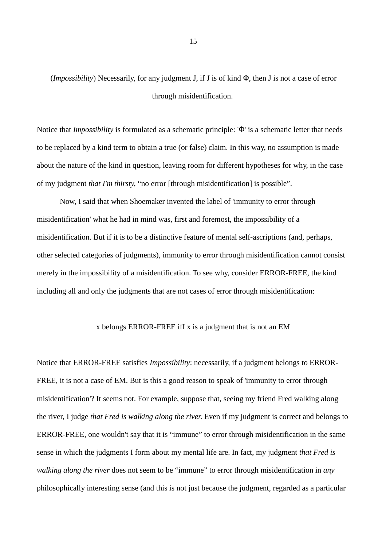(*Impossibility*) Necessarily, for any judgment J, if J is of kind Φ, then J is not a case of error through misidentification.

Notice that *Impossibility* is formulated as a schematic principle: 'Φ' is a schematic letter that needs to be replaced by a kind term to obtain a true (or false) claim. In this way, no assumption is made about the nature of the kind in question, leaving room for different hypotheses for why, in the case of my judgment *that I'm thirsty*, "no error [through misidentification] is possible".

Now, I said that when Shoemaker invented the label of 'immunity to error through misidentification' what he had in mind was, first and foremost, the impossibility of a misidentification. But if it is to be a distinctive feature of mental self-ascriptions (and, perhaps, other selected categories of judgments), immunity to error through misidentification cannot consist merely in the impossibility of a misidentification. To see why, consider ERROR-FREE, the kind including all and only the judgments that are not cases of error through misidentification:

### x belongs ERROR-FREE iff x is a judgment that is not an EM

Notice that ERROR-FREE satisfies *Impossibility*: necessarily, if a judgment belongs to ERROR-FREE, it is not a case of EM. But is this a good reason to speak of 'immunity to error through misidentification'? It seems not. For example, suppose that, seeing my friend Fred walking along the river, I judge *that Fred is walking along the river*. Even if my judgment is correct and belongs to ERROR-FREE, one wouldn't say that it is "immune" to error through misidentification in the same sense in which the judgments I form about my mental life are. In fact, my judgment *that Fred is walking along the river* does not seem to be "immune" to error through misidentification in *any* philosophically interesting sense (and this is not just because the judgment, regarded as a particular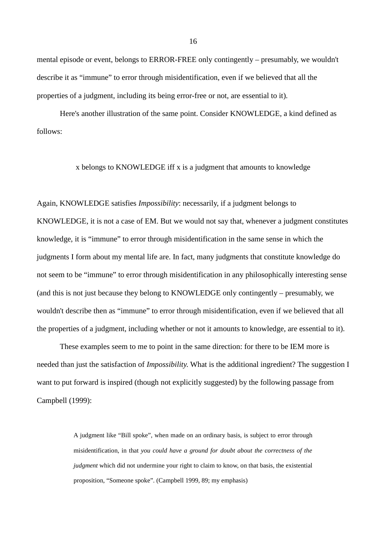mental episode or event, belongs to ERROR-FREE only contingently – presumably, we wouldn't describe it as "immune" to error through misidentification, even if we believed that all the properties of a judgment, including its being error-free or not, are essential to it).

Here's another illustration of the same point. Consider KNOWLEDGE, a kind defined as follows:

x belongs to KNOWLEDGE iff x is a judgment that amounts to knowledge

Again, KNOWLEDGE satisfies *Impossibility*: necessarily, if a judgment belongs to KNOWLEDGE, it is not a case of EM. But we would not say that, whenever a judgment constitutes knowledge, it is "immune" to error through misidentification in the same sense in which the judgments I form about my mental life are. In fact, many judgments that constitute knowledge do not seem to be "immune" to error through misidentification in any philosophically interesting sense (and this is not just because they belong to KNOWLEDGE only contingently – presumably, we wouldn't describe then as "immune" to error through misidentification, even if we believed that all the properties of a judgment, including whether or not it amounts to knowledge, are essential to it).

These examples seem to me to point in the same direction: for there to be IEM more is needed than just the satisfaction of *Impossibility*. What is the additional ingredient? The suggestion I want to put forward is inspired (though not explicitly suggested) by the following passage from Campbell (1999):

> A judgment like "Bill spoke", when made on an ordinary basis, is subject to error through misidentification, in that *you could have a ground for doubt about the correctness of the judgment* which did not undermine your right to claim to know, on that basis, the existential proposition, "Someone spoke". (Campbell 1999, 89; my emphasis)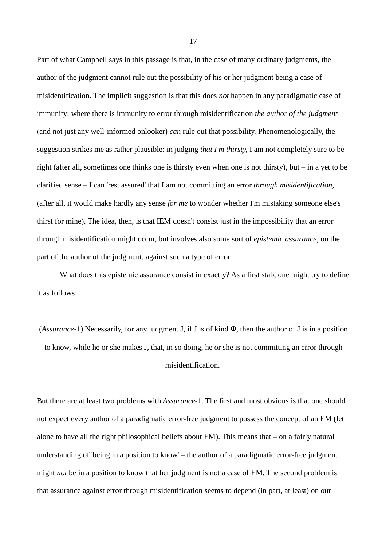Part of what Campbell says in this passage is that, in the case of many ordinary judgments, the author of the judgment cannot rule out the possibility of his or her judgment being a case of misidentification. The implicit suggestion is that this does *not* happen in any paradigmatic case of immunity: where there is immunity to error through misidentification *the author of the judgment* (and not just any well-informed onlooker) *can* rule out that possibility. Phenomenologically, the suggestion strikes me as rather plausible: in judging *that I'm thirsty*, I am not completely sure to be right (after all, sometimes one thinks one is thirsty even when one is not thirsty), but – in a yet to be clarified sense – I can 'rest assured' that I am not committing an error *through misidentification*, (after all, it would make hardly any sense *for me* to wonder whether I'm mistaking someone else's thirst for mine). The idea, then, is that IEM doesn't consist just in the impossibility that an error through misidentification might occur, but involves also some sort of *epistemic assurance*, on the part of the author of the judgment, against such a type of error.

What does this epistemic assurance consist in exactly? As a first stab, one might try to define it as follows:

(*Assurance*-1) Necessarily, for any judgment J, if J is of kind Φ, then the author of J is in a position to know, while he or she makes J, that, in so doing, he or she is not committing an error through misidentification.

But there are at least two problems with *Assurance*-1. The first and most obvious is that one should not expect every author of a paradigmatic error-free judgment to possess the concept of an EM (let alone to have all the right philosophical beliefs about EM). This means that – on a fairly natural understanding of 'being in a position to know' – the author of a paradigmatic error-free judgment might *not* be in a position to know that her judgment is not a case of EM. The second problem is that assurance against error through misidentification seems to depend (in part, at least) on our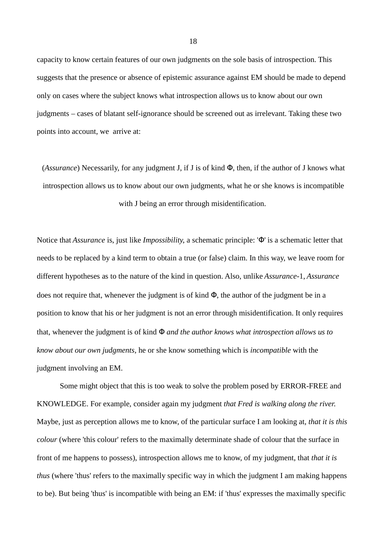capacity to know certain features of our own judgments on the sole basis of introspection. This suggests that the presence or absence of epistemic assurance against EM should be made to depend only on cases where the subject knows what introspection allows us to know about our own judgments – cases of blatant self-ignorance should be screened out as irrelevant. Taking these two points into account, we arrive at:

(*Assurance*) Necessarily, for any judgment J, if J is of kind Φ, then, if the author of J knows what introspection allows us to know about our own judgments, what he or she knows is incompatible with J being an error through misidentification.

Notice that *Assurance* is, just like *Impossibility*, a schematic principle: 'Φ' is a schematic letter that needs to be replaced by a kind term to obtain a true (or false) claim. In this way, we leave room for different hypotheses as to the nature of the kind in question. Also, unlike *Assurance*-1, *Assurance* does not require that, whenever the judgment is of kind  $\Phi$ , the author of the judgment be in a position to know that his or her judgment is not an error through misidentification. It only requires that, whenever the judgment is of kind Φ *and the author knows what introspection allows us to know about our own judgments*, he or she know something which is *incompatible* with the judgment involving an EM.

Some might object that this is too weak to solve the problem posed by ERROR-FREE and KNOWLEDGE. For example, consider again my judgment *that Fred is walking along the river*. Maybe, just as perception allows me to know, of the particular surface I am looking at, *that it is this colour* (where 'this colour' refers to the maximally determinate shade of colour that the surface in front of me happens to possess), introspection allows me to know, of my judgment, that *that it is thus* (where 'thus' refers to the maximally specific way in which the judgment I am making happens to be). But being 'thus' is incompatible with being an EM: if 'thus' expresses the maximally specific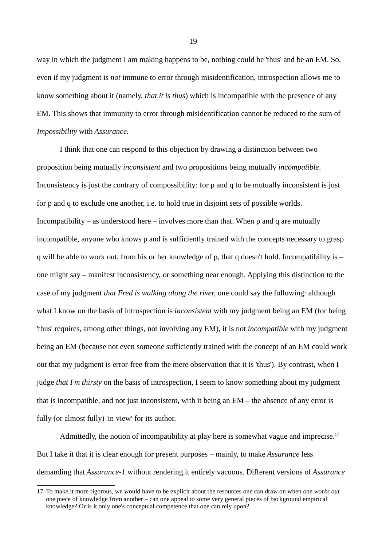way in which the judgment I am making happens to be, nothing could be 'thus' and be an EM. So, even if my judgment is *not* immune to error through misidentification, introspection allows me to know something about it (namely, *that it is thus*) which is incompatible with the presence of any EM. This shows that immunity to error through misidentification cannot be reduced to the sum of *Impossibility* with *Assurance.*

I think that one can respond to this objection by drawing a distinction between two proposition being mutually *inconsistent* and two propositions being mutually *incompatible*. Inconsistency is just the contrary of compossibility: for p and q to be mutually inconsistent is just for p and q to exclude one another, i.e. to hold true in disjoint sets of possible worlds. Incompatibility – as understood here – involves more than that. When  $p$  and  $q$  are mutually incompatible, anyone who knows p and is sufficiently trained with the concepts necessary to grasp q will be able to work out, from his or her knowledge of p, that q doesn't hold. Incompatibility is  $$ one might say – manifest inconsistency, or something near enough. Applying this distinction to the case of my judgment *that Fred is walking along the river*, one could say the following: although what I know on the basis of introspection is *inconsistent* with my judgment being an EM (for being 'thus' requires, among other things, not involving any EM), it is not *incompatible* with my judgment being an EM (because not even someone sufficiently trained with the concept of an EM could work out that my judgment is error-free from the mere observation that it is 'thus'). By contrast, when I judge *that I'm thirsty* on the basis of introspection, I seem to know something about my judgment that is incompatible, and not just inconsistent, with it being an EM – the absence of any error is fully (or almost fully) 'in view' for its author.

Admittedly, the notion of incompatibility at play here is somewhat vague and imprecise.<sup>17</sup> But I take it that it is clear enough for present purposes – mainly, to make *Assurance* less demanding that *Assurance*-1 without rendering it entirely vacuous. Different versions of *Assurance*

<sup>17</sup> To make it more rigorous, we would have to be explicit about the resources one can draw on when one *works out* one piece of knowledge from another – can one appeal to some very general pieces of background empirical knowledge? Or is it only one's conceptual competence that one can rely upon?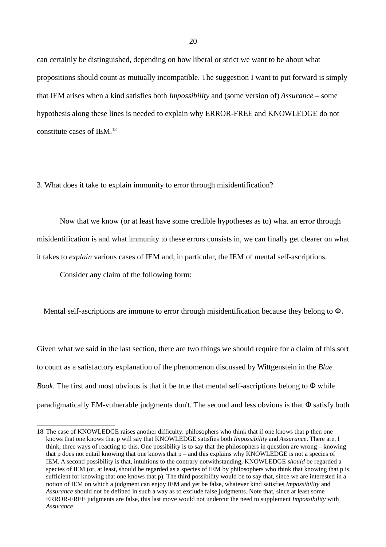can certainly be distinguished, depending on how liberal or strict we want to be about what propositions should count as mutually incompatible. The suggestion I want to put forward is simply that IEM arises when a kind satisfies both *Impossibility* and (some version of) *Assurance* – some hypothesis along these lines is needed to explain why ERROR-FREE and KNOWLEDGE do not constitute cases of IEM.<sup>18</sup>

3. What does it take to explain immunity to error through misidentification?

Now that we know (or at least have some credible hypotheses as to) what an error through misidentification is and what immunity to these errors consists in, we can finally get clearer on what it takes to *explain* various cases of IEM and, in particular, the IEM of mental self-ascriptions.

Consider any claim of the following form:

Mental self-ascriptions are immune to error through misidentification because they belong to Φ.

Given what we said in the last section, there are two things we should require for a claim of this sort to count as a satisfactory explanation of the phenomenon discussed by Wittgenstein in the *Blue Book*. The first and most obvious is that it be true that mental self-ascriptions belong to Φ while paradigmatically EM-vulnerable judgments don't. The second and less obvious is that Φ satisfy both

<sup>18</sup> The case of KNOWLEDGE raises another difficulty: philosophers who think that if one knows that p then one knows that one knows that p will say that KNOWLEDGE satisfies both *Impossibility* and *Assurance*. There are, I think, three ways of reacting to this. One possibility is to say that the philosophers in question are wrong – knowing that p does not entail knowing that one knows that  $p - q$  and this explains why KNOWLEDGE is not a species of IEM. A second possibility is that, intuitions to the contrary notwithstanding, KNOWLEDGE *should* be regarded a species of IEM (or, at least, should be regarded as a species of IEM by philosophers who think that knowing that p is sufficient for knowing that one knows that p). The third possibility would be to say that, since we are interested in a notion of IEM on which a judgment can enjoy IEM and yet be false, whatever kind satisfies *Impossibility* and *Assurance* should not be defined in such a way as to exclude false judgments. Note that, since at least some ERROR-FREE judgments are false, this last move would not undercut the need to supplement *Impossibility* with *Assurance*.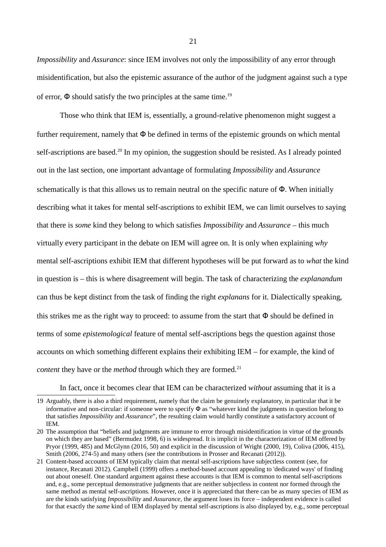*Impossibility* and *Assurance*: since IEM involves not only the impossibility of any error through misidentification, but also the epistemic assurance of the author of the judgment against such a type of error,  $\Phi$  should satisfy the two principles at the same time.<sup>19</sup>

Those who think that IEM is, essentially, a ground-relative phenomenon might suggest a further requirement, namely that  $\Phi$  be defined in terms of the epistemic grounds on which mental self-ascriptions are based.<sup>20</sup> In my opinion, the suggestion should be resisted. As I already pointed out in the last section, one important advantage of formulating *Impossibility* and *Assurance* schematically is that this allows us to remain neutral on the specific nature of Φ. When initially describing what it takes for mental self-ascriptions to exhibit IEM, we can limit ourselves to saying that there is *some* kind they belong to which satisfies *Impossibility* and *Assurance –* this much virtually every participant in the debate on IEM will agree on. It is only when explaining *why* mental self-ascriptions exhibit IEM that different hypotheses will be put forward as to *what* the kind in question is – this is where disagreement will begin. The task of characterizing the *explanandum* can thus be kept distinct from the task of finding the right *explanans* for it. Dialectically speaking, this strikes me as the right way to proceed: to assume from the start that  $\Phi$  should be defined in terms of some *epistemological* feature of mental self-ascriptions begs the question against those accounts on which something different explains their exhibiting IEM – for example, the kind of *content* they have or the *method* through which they are formed.<sup>21</sup>

In fact, once it becomes clear that IEM can be characterized *without* assuming that it is a

<sup>19</sup> Arguably, there is also a third requirement, namely that the claim be genuinely explanatory, in particular that it be informative and non-circular: if someone were to specify  $\Phi$  as "whatever kind the judgments in question belong to that satisfies *Impossibility* and *Assurance*", the resulting claim would hardly constitute a satisfactory account of IEM.

<sup>20</sup> The assumption that "beliefs and judgments are immune to error through misidentification in virtue of the grounds on which they are based" (Bermudez 1998, 6) is widespread. It is implicit in the characterization of IEM offered by Pryor (1999, 485) and McGlynn (2016, 50) and explicit in the discussion of Wright (2000, 19), Coliva (2006, 415), Smith (2006, 274-5) and many others (see the contributions in Prosser and Recanati (2012)).

<sup>21</sup> Content-based accounts of IEM typically claim that mental self-ascriptions have subjectless content (see, for instance, Recanati 2012). Campbell (1999) offers a method-based account appealing to 'dedicated ways' of finding out about oneself. One standard argument against these accounts is that IEM is common to mental self-ascriptions and, e.g., some perceptual demonstrative judgments that are neither subjectless in content nor formed through the same method as mental self-ascriptions. However, once it is appreciated that there can be as many species of IEM as are the kinds satisfying *Impossibility* and *Assurance,* the argument loses its force – independent evidence is called for that exactly the *same* kind of IEM displayed by mental self-ascriptions is also displayed by, e.g., some perceptual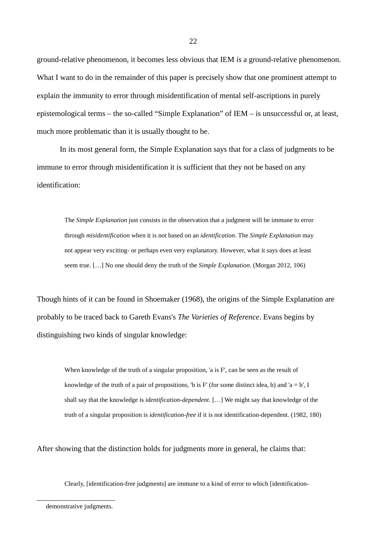ground-relative phenomenon, it becomes less obvious that IEM *is* a ground-relative phenomenon. What I want to do in the remainder of this paper is precisely show that one prominent attempt to explain the immunity to error through misidentification of mental self-ascriptions in purely epistemological terms – the so-called "Simple Explanation" of IEM – is unsuccessful or, at least, much more problematic than it is usually thought to be.

In its most general form, the Simple Explanation says that for a class of judgments to be immune to error through misidentification it is sufficient that they not be based on any identification:

The *Simple Explanation* just consists in the observation that a judgment will be immune to error through *misidentification* when it is not based on an *identification*. The *Simple Explanation* may not appear very exciting- or perhaps even very explanatory. However, what it says does at least seem true. […] No one should deny the truth of the *Simple Explanation*. (Morgan 2012, 106)

Though hints of it can be found in Shoemaker (1968), the origins of the Simple Explanation are probably to be traced back to Gareth Evans's *The Varieties of Reference*. Evans begins by distinguishing two kinds of singular knowledge:

When knowledge of the truth of a singular proposition, 'a is F', can be seen as the result of knowledge of the truth of a pair of propositions, 'b is F' (for some distinct idea, b) and 'a = b', I shall say that the knowledge is *identification-dependent*. […] We might say that knowledge of the truth of a singular proposition is *identification-free* if it is not identification-dependent. (1982, 180)

After showing that the distinction holds for judgments more in general, he claims that:

Clearly, [identification-free judgments] are immune to a kind of error to which [identification-

demonstrative judgments.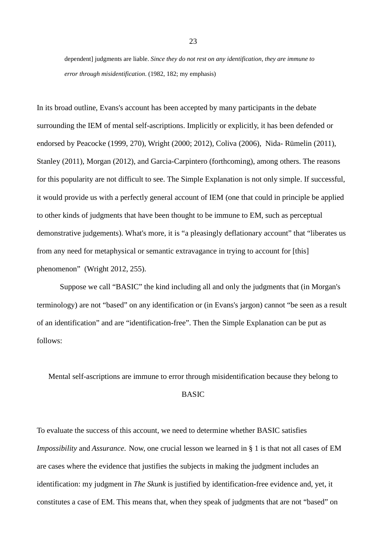dependent] judgments are liable. *Since they do not rest on any identification, they are immune to error through misidentification*. (1982, 182; my emphasis)

In its broad outline, Evans's account has been accepted by many participants in the debate surrounding the IEM of mental self-ascriptions. Implicitly or explicitly, it has been defended or endorsed by Peacocke (1999, 270), Wright (2000; 2012), Coliva (2006), Nida- Rümelin (2011), Stanley (2011), Morgan (2012), and Garcia-Carpintero (forthcoming), among others. The reasons for this popularity are not difficult to see. The Simple Explanation is not only simple. If successful, it would provide us with a perfectly general account of IEM (one that could in principle be applied to other kinds of judgments that have been thought to be immune to EM, such as perceptual demonstrative judgements). What's more, it is "a pleasingly deflationary account" that "liberates us from any need for metaphysical or semantic extravagance in trying to account for [this] phenomenon" (Wright 2012, 255).

Suppose we call "BASIC" the kind including all and only the judgments that (in Morgan's terminology) are not "based" on any identification or (in Evans's jargon) cannot "be seen as a result of an identification" and are "identification-free". Then the Simple Explanation can be put as follows:

Mental self-ascriptions are immune to error through misidentification because they belong to

## **BASIC**

To evaluate the success of this account, we need to determine whether BASIC satisfies *Impossibility* and *Assurance*. Now, one crucial lesson we learned in § 1 is that not all cases of EM are cases where the evidence that justifies the subjects in making the judgment includes an identification: my judgment in *The Skunk* is justified by identification-free evidence and, yet, it constitutes a case of EM. This means that, when they speak of judgments that are not "based" on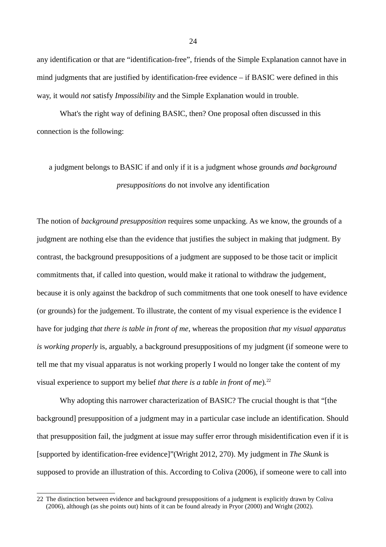any identification or that are "identification-free", friends of the Simple Explanation cannot have in mind judgments that are justified by identification-free evidence – if BASIC were defined in this way, it would *not* satisfy *Impossibility* and the Simple Explanation would in trouble.

What's the right way of defining BASIC, then? One proposal often discussed in this connection is the following:

# a judgment belongs to BASIC if and only if it is a judgment whose grounds *and background presuppositions* do not involve any identification

The notion of *background presupposition* requires some unpacking. As we know, the grounds of a judgment are nothing else than the evidence that justifies the subject in making that judgment. By contrast, the background presuppositions of a judgment are supposed to be those tacit or implicit commitments that, if called into question, would make it rational to withdraw the judgement, because it is only against the backdrop of such commitments that one took oneself to have evidence (or grounds) for the judgement. To illustrate, the content of my visual experience is the evidence I have for judging *that there is table in front of me*, whereas the proposition *that my visual apparatus is working properly* is, arguably, a background presuppositions of my judgment (if someone were to tell me that my visual apparatus is not working properly I would no longer take the content of my visual experience to support my belief *that there is a table in front of me*)*.* 22

Why adopting this narrower characterization of BASIC? The crucial thought is that "[the background] presupposition of a judgment may in a particular case include an identification. Should that presupposition fail, the judgment at issue may suffer error through misidentification even if it is [supported by identification-free evidence]"(Wright 2012, 270). My judgment in *The Skunk* is supposed to provide an illustration of this. According to Coliva (2006), if someone were to call into

<sup>22</sup> The distinction between evidence and background presuppositions of a judgment is explicitly drawn by Coliva (2006), although (as she points out) hints of it can be found already in Pryor (2000) and Wright (2002).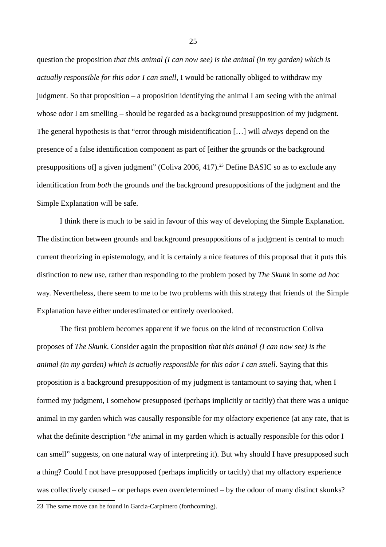question the proposition *that this animal (I can now see) is the animal (in my garden) which is actually responsible for this odor I can smell*, I would be rationally obliged to withdraw my judgment. So that proposition – a proposition identifying the animal I am seeing with the animal whose odor I am smelling – should be regarded as a background presupposition of my judgment. The general hypothesis is that "error through misidentification […] will *always* depend on the presence of a false identification component as part of [either the grounds or the background presuppositions of a given judgment" (Coliva 2006, 417).<sup>23</sup> Define BASIC so as to exclude any identification from *both* the grounds *and* the background presuppositions of the judgment and the Simple Explanation will be safe.

I think there is much to be said in favour of this way of developing the Simple Explanation. The distinction between grounds and background presuppositions of a judgment is central to much current theorizing in epistemology, and it is certainly a nice features of this proposal that it puts this distinction to new use, rather than responding to the problem posed by *The Skunk* in some *ad hoc* way. Nevertheless, there seem to me to be two problems with this strategy that friends of the Simple Explanation have either underestimated or entirely overlooked.

The first problem becomes apparent if we focus on the kind of reconstruction Coliva proposes of *The Skunk*. Consider again the proposition *that this animal (I can now see) is the animal (in my garden) which is actually responsible for this odor I can smell.* Saying that this proposition is a background presupposition of my judgment is tantamount to saying that, when I formed my judgment, I somehow presupposed (perhaps implicitly or tacitly) that there was a unique animal in my garden which was causally responsible for my olfactory experience (at any rate, that is what the definite description "*the* animal in my garden which is actually responsible for this odor I can smell" suggests, on one natural way of interpreting it). But why should I have presupposed such a thing? Could I not have presupposed (perhaps implicitly or tacitly) that my olfactory experience was collectively caused – or perhaps even overdetermined – by the odour of many distinct skunks?

<sup>23</sup> The same move can be found in Garcia-Carpintero (forthcoming).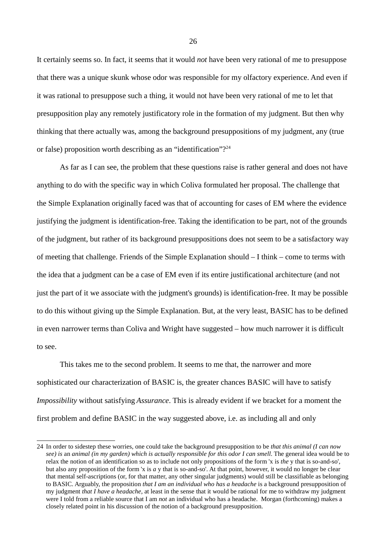It certainly seems so. In fact, it seems that it would *not* have been very rational of me to presuppose that there was a unique skunk whose odor was responsible for my olfactory experience. And even if it was rational to presuppose such a thing, it would not have been very rational of me to let that presupposition play any remotely justificatory role in the formation of my judgment. But then why thinking that there actually was, among the background presuppositions of my judgment, any (true or false) proposition worth describing as an "identification"?<sup>24</sup>

As far as I can see, the problem that these questions raise is rather general and does not have anything to do with the specific way in which Coliva formulated her proposal. The challenge that the Simple Explanation originally faced was that of accounting for cases of EM where the evidence justifying the judgment is identification-free. Taking the identification to be part, not of the grounds of the judgment, but rather of its background presuppositions does not seem to be a satisfactory way of meeting that challenge. Friends of the Simple Explanation should – I think – come to terms with the idea that a judgment can be a case of EM even if its entire justificational architecture (and not just the part of it we associate with the judgment's grounds) is identification-free. It may be possible to do this without giving up the Simple Explanation. But, at the very least, BASIC has to be defined in even narrower terms than Coliva and Wright have suggested – how much narrower it is difficult to see.

This takes me to the second problem. It seems to me that, the narrower and more sophisticated our characterization of BASIC is, the greater chances BASIC will have to satisfy *Impossibility* without satisfying *Assurance*. This is already evident if we bracket for a moment the first problem and define BASIC in the way suggested above, i.e. as including all and only

<sup>24</sup> In order to sidestep these worries, one could take the background presupposition to be *that this animal (I can now see) is* an *animal (in my garden) which is actually responsible for this odor I can smell*. The general idea would be to relax the notion of an identification so as to include not only propositions of the form 'x is *the* y that is so-and-so', but also any proposition of the form 'x is *a* y that is so-and-so'. At that point, however, it would no longer be clear that mental self-ascriptions (or, for that matter, any other singular judgments) would still be classifiable as belonging to BASIC. Arguably, the proposition *that I am an individual who has a headache* is a background presupposition of my judgment *that I have a headache*, at least in the sense that it would be rational for me to withdraw my judgment were I told from a reliable source that I am *not* an individual who has a headache. Morgan (forthcoming) makes a closely related point in his discussion of the notion of a background presupposition.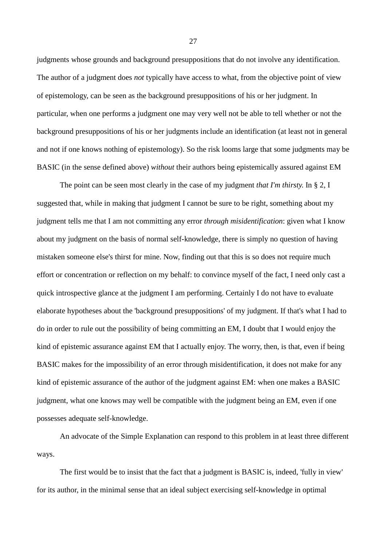judgments whose grounds and background presuppositions that do not involve any identification. The author of a judgment does *not* typically have access to what, from the objective point of view of epistemology, can be seen as the background presuppositions of his or her judgment. In particular, when one performs a judgment one may very well not be able to tell whether or not the background presuppositions of his or her judgments include an identification (at least not in general and not if one knows nothing of epistemology). So the risk looms large that some judgments may be BASIC (in the sense defined above) *without* their authors being epistemically assured against EM

The point can be seen most clearly in the case of my judgment *that I'm thirsty*. In § 2, I suggested that, while in making that judgment I cannot be sure to be right, something about my judgment tells me that I am not committing any error *through misidentification*: given what I know about my judgment on the basis of normal self-knowledge, there is simply no question of having mistaken someone else's thirst for mine. Now, finding out that this is so does not require much effort or concentration or reflection on my behalf: to convince myself of the fact, I need only cast a quick introspective glance at the judgment I am performing. Certainly I do not have to evaluate elaborate hypotheses about the 'background presuppositions' of my judgment. If that's what I had to do in order to rule out the possibility of being committing an EM, I doubt that I would enjoy the kind of epistemic assurance against EM that I actually enjoy. The worry, then, is that, even if being BASIC makes for the impossibility of an error through misidentification, it does not make for any kind of epistemic assurance of the author of the judgment against EM: when one makes a BASIC judgment, what one knows may well be compatible with the judgment being an EM, even if one possesses adequate self-knowledge.

An advocate of the Simple Explanation can respond to this problem in at least three different ways.

The first would be to insist that the fact that a judgment is BASIC is, indeed, 'fully in view' for its author, in the minimal sense that an ideal subject exercising self-knowledge in optimal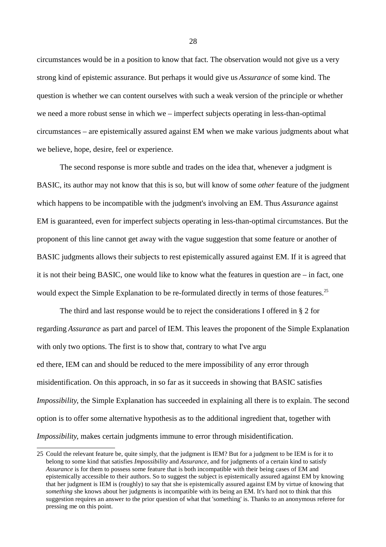circumstances would be in a position to know that fact. The observation would not give us a very strong kind of epistemic assurance. But perhaps it would give us *Assurance* of some kind. The question is whether we can content ourselves with such a weak version of the principle or whether we need a more robust sense in which we – imperfect subjects operating in less-than-optimal circumstances – are epistemically assured against EM when we make various judgments about what we believe, hope, desire, feel or experience.

The second response is more subtle and trades on the idea that, whenever a judgment is BASIC, its author may not know that this is so, but will know of some *other* feature of the judgment which happens to be incompatible with the judgment's involving an EM. Thus *Assurance* against EM is guaranteed, even for imperfect subjects operating in less-than-optimal circumstances. But the proponent of this line cannot get away with the vague suggestion that some feature or another of BASIC judgments allows their subjects to rest epistemically assured against EM. If it is agreed that it is not their being BASIC, one would like to know what the features in question are – in fact, one would expect the Simple Explanation to be re-formulated directly in terms of those features.<sup>25</sup>

The third and last response would be to reject the considerations I offered in § 2 for regarding *Assurance* as part and parcel of IEM. This leaves the proponent of the Simple Explanation with only two options. The first is to show that, contrary to what I've argu ed there, IEM can and should be reduced to the mere impossibility of any error through misidentification. On this approach, in so far as it succeeds in showing that BASIC satisfies *Impossibility*, the Simple Explanation has succeeded in explaining all there is to explain. The second option is to offer some alternative hypothesis as to the additional ingredient that, together with *Impossibility*, makes certain judgments immune to error through misidentification.

<sup>25</sup> Could the relevant feature be, quite simply, that the judgment is IEM? But for a judgment to be IEM is for it to belong to some kind that satisfies *Impossibility* and *Assurance*, and for judgments of a certain kind to satisfy *Assurance* is for them to possess some feature that is both incompatible with their being cases of EM and epistemically accessible to their authors. So to suggest the subject is epistemically assured against EM by knowing that her judgment is IEM is (roughly) to say that she is epistemically assured against EM by virtue of knowing that *something* she knows about her judgments is incompatible with its being an EM. It's hard not to think that this suggestion requires an answer to the prior question of what that 'something' is. Thanks to an anonymous referee for pressing me on this point.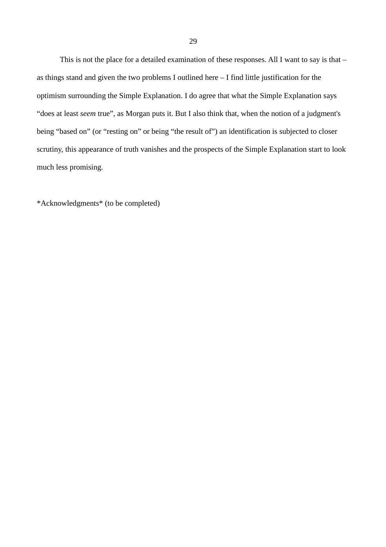This is not the place for a detailed examination of these responses. All I want to say is that – as things stand and given the two problems I outlined here – I find little justification for the optimism surrounding the Simple Explanation. I do agree that what the Simple Explanation says "does at least *seem* true", as Morgan puts it. But I also think that, when the notion of a judgment's being "based on" (or "resting on" or being "the result of") an identification is subjected to closer scrutiny, this appearance of truth vanishes and the prospects of the Simple Explanation start to look much less promising.

\*Acknowledgments\* (to be completed)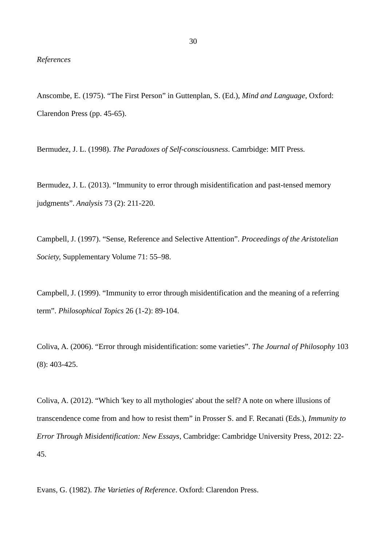#### *References*

Anscombe, E. (1975). "The First Person" in Guttenplan, S. (Ed.), *Mind and Language*, Oxford: Clarendon Press (pp. 45-65).

Bermudez, J. L. (1998). *The Paradoxes of Self-consciousness*. Camrbidge: MIT Press.

Bermudez, J. L. (2013). "Immunity to error through misidentification and past-tensed memory judgments". *Analysis* 73 (2): 211-220.

Campbell, J. (1997). "Sense, Reference and Selective Attention". *Proceedings of the Aristotelian Society*, Supplementary Volume 71: 55–98.

Campbell, J. (1999). "Immunity to error through misidentification and the meaning of a referring term". *Philosophical Topics* 26 (1-2): 89-104.

Coliva, A. (2006). "Error through misidentification: some varieties". *The Journal of Philosophy* 103 (8): 403-425.

Coliva, A. (2012). "Which 'key to all mythologies' about the self? A note on where illusions of transcendence come from and how to resist them" in Prosser S. and F. Recanati (Eds.), *Immunity to Error Through Misidentification: New Essays*, Cambridge: Cambridge University Press, 2012: 22- 45.

Evans, G. (1982). *The Varieties of Reference*. Oxford: Clarendon Press.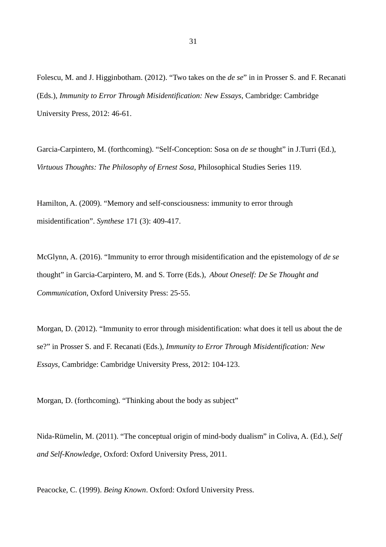Folescu, M. and J. Higginbotham. (2012). "Two takes on the *de se*" in in Prosser S. and F. Recanati (Eds.), *Immunity to Error Through Misidentification: New Essays*, Cambridge: Cambridge University Press, 2012: 46-61.

Garcia-Carpintero, M. (forthcoming). "Self-Conception: Sosa on *de se* thought" in J.Turri (Ed.), *Virtuous Thoughts: The Philosophy of Ernest Sosa*, Philosophical Studies Series 119.

Hamilton, A. (2009). "Memory and self-consciousness: immunity to error through misidentification". *Synthese* 171 (3): 409-417.

McGlynn, A. (2016). "Immunity to error through misidentification and the epistemology of *de se* thought" in Garcia-Carpintero, M. and S. Torre (Eds.), *About Oneself: De Se Thought and Communication*, Oxford University Press: 25-55.

Morgan, D. (2012). "Immunity to error through misidentification: what does it tell us about the de se?" in Prosser S. and F. Recanati (Eds.), *Immunity to Error Through Misidentification: New Essays*, Cambridge: Cambridge University Press, 2012: 104-123.

Morgan, D. (forthcoming). "Thinking about the body as subject"

Nida-Rümelin, M. (2011). "The conceptual origin of mind-body dualism" in Coliva, A. (Ed.), *Self and Self-Knowledge*, Oxford: Oxford University Press, 2011.

Peacocke, C. (1999). *Being Known*. Oxford: Oxford University Press.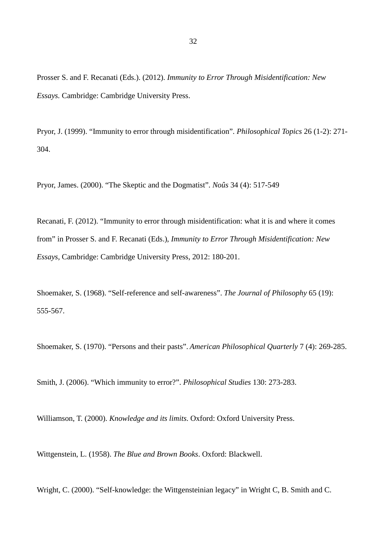Prosser S. and F. Recanati (Eds.). (2012). *Immunity to Error Through Misidentification: New Essays.* Cambridge: Cambridge University Press.

Pryor, J. (1999). "Immunity to error through misidentification". *Philosophical Topics* 26 (1-2): 271- 304.

Pryor, James. (2000). "The Skeptic and the Dogmatist". *Noûs* 34 (4): 517-549

Recanati, F. (2012). "Immunity to error through misidentification: what it is and where it comes from" in Prosser S. and F. Recanati (Eds.), *Immunity to Error Through Misidentification: New Essays*, Cambridge: Cambridge University Press, 2012: 180-201.

Shoemaker, S. (1968). "Self-reference and self-awareness". *The Journal of Philosophy* 65 (19): 555-567.

Shoemaker, S. (1970). "Persons and their pasts". *American Philosophical Quarterly* 7 (4): 269-285.

Smith, J. (2006). "Which immunity to error?". *Philosophical Studies* 130: 273-283.

Williamson, T. (2000). *Knowledge and its limits*. Oxford: Oxford University Press.

Wittgenstein, L. (1958). *The Blue and Brown Books*. Oxford: Blackwell.

Wright, C. (2000). "Self-knowledge: the Wittgensteinian legacy" in Wright C, B. Smith and C.